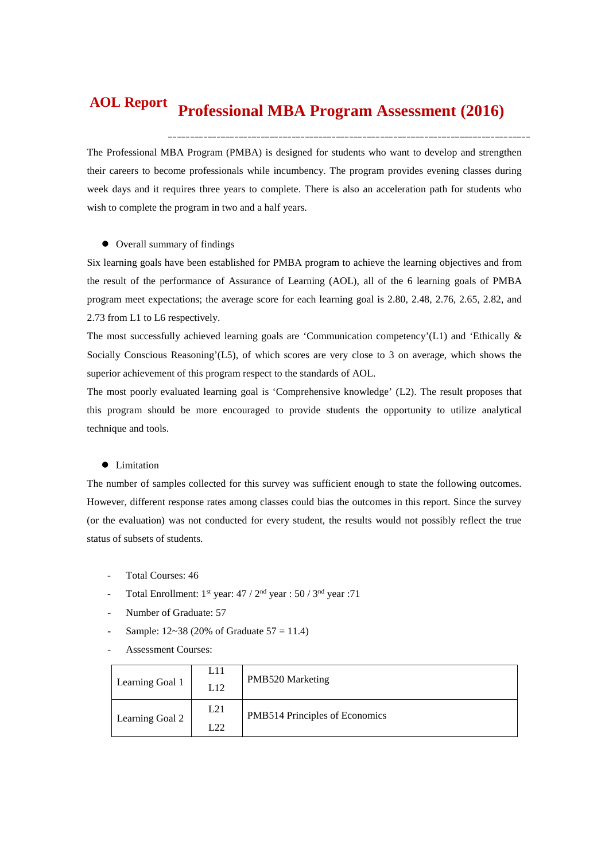#### **Professional MBA Program Assessment (2016) AOL Report**

The Professional MBA Program (PMBA) is designed for students who want to develop and strengthen their careers to become professionals while incumbency. The program provides evening classes during week days and it requires three years to complete. There is also an acceleration path for students who wish to complete the program in two and a half years.

# Overall summary of findings

Six learning goals have been established for PMBA program to achieve the learning objectives and from the result of the performance of Assurance of Learning (AOL), all of the 6 learning goals of PMBA program meet expectations; the average score for each learning goal is 2.80, 2.48, 2.76, 2.65, 2.82, and 2.73 from L1 to L6 respectively.

The most successfully achieved learning goals are 'Communication competency'(L1) and 'Ethically & Socially Conscious Reasoning'(L5), of which scores are very close to 3 on average, which shows the superior achievement of this program respect to the standards of AOL.

The most poorly evaluated learning goal is 'Comprehensive knowledge' (L2). The result proposes that this program should be more encouraged to provide students the opportunity to utilize analytical technique and tools.

#### **•** Limitation

The number of samples collected for this survey was sufficient enough to state the following outcomes. However, different response rates among classes could bias the outcomes in this report. Since the survey (or the evaluation) was not conducted for every student, the results would not possibly reflect the true status of subsets of students.

- Total Courses: 46
- Total Enrollment:  $1^{st}$  year:  $47 / 2^{nd}$  year :  $50 / 3^{nd}$  year : 71
- Number of Graduate: 57
- Sample:  $12~38$  (20% of Graduate  $57 = 11.4$ )
- Assessment Courses:

| Learning Goal 1 | L11<br>L12 | <b>PMB520 Marketing</b>        |
|-----------------|------------|--------------------------------|
| Learning Goal 2 | L21        | PMB514 Principles of Economics |
|                 | L22        |                                |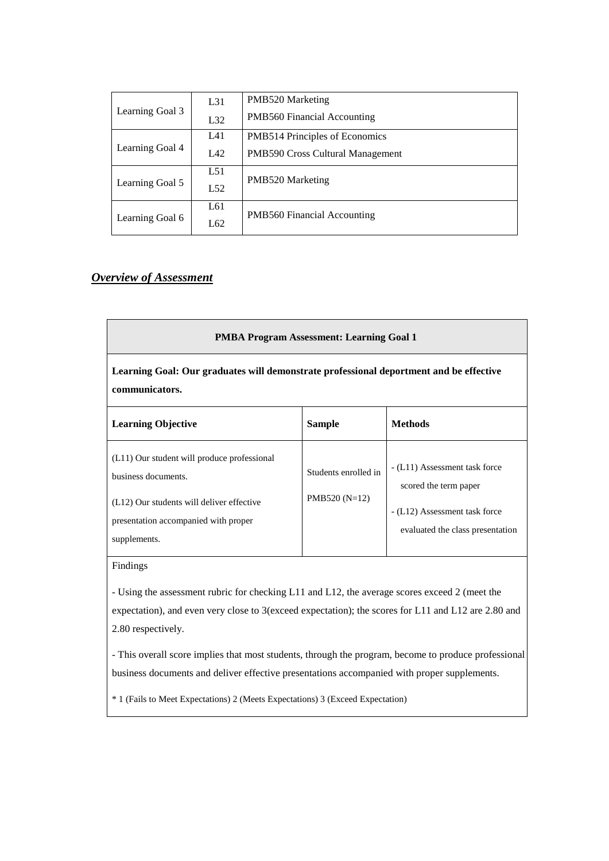|                 | L31 | PMB520 Marketing                   |  |  |  |  |
|-----------------|-----|------------------------------------|--|--|--|--|
| Learning Goal 3 | L32 | PMB560 Financial Accounting        |  |  |  |  |
|                 | L41 | PMB514 Principles of Economics     |  |  |  |  |
| Learning Goal 4 | LA2 | PMB590 Cross Cultural Management   |  |  |  |  |
|                 | L51 |                                    |  |  |  |  |
| Learning Goal 5 | L52 | PMB520 Marketing                   |  |  |  |  |
|                 | L61 |                                    |  |  |  |  |
| Learning Goal 6 | L62 | <b>PMB560 Financial Accounting</b> |  |  |  |  |

# *Overview of Assessment*

| <b>PMBA Program Assessment: Learning Goal 1</b>                                                                                                                         |                                        |                                                                                                                             |  |  |  |  |  |  |
|-------------------------------------------------------------------------------------------------------------------------------------------------------------------------|----------------------------------------|-----------------------------------------------------------------------------------------------------------------------------|--|--|--|--|--|--|
| Learning Goal: Our graduates will demonstrate professional deportment and be effective<br>communicators.                                                                |                                        |                                                                                                                             |  |  |  |  |  |  |
| <b>Learning Objective</b>                                                                                                                                               | <b>Sample</b>                          | <b>Methods</b>                                                                                                              |  |  |  |  |  |  |
| (L11) Our student will produce professional<br>business documents.<br>(L12) Our students will deliver effective<br>presentation accompanied with proper<br>supplements. | Students enrolled in<br>$PMB520(N=12)$ | - (L11) Assessment task force<br>scored the term paper<br>- (L12) Assessment task force<br>evaluated the class presentation |  |  |  |  |  |  |

# Findings

- Using the assessment rubric for checking L11 and L12, the average scores exceed 2 (meet the expectation), and even very close to 3(exceed expectation); the scores for L11 and L12 are 2.80 and 2.80 respectively.

- This overall score implies that most students, through the program, become to produce professional business documents and deliver effective presentations accompanied with proper supplements.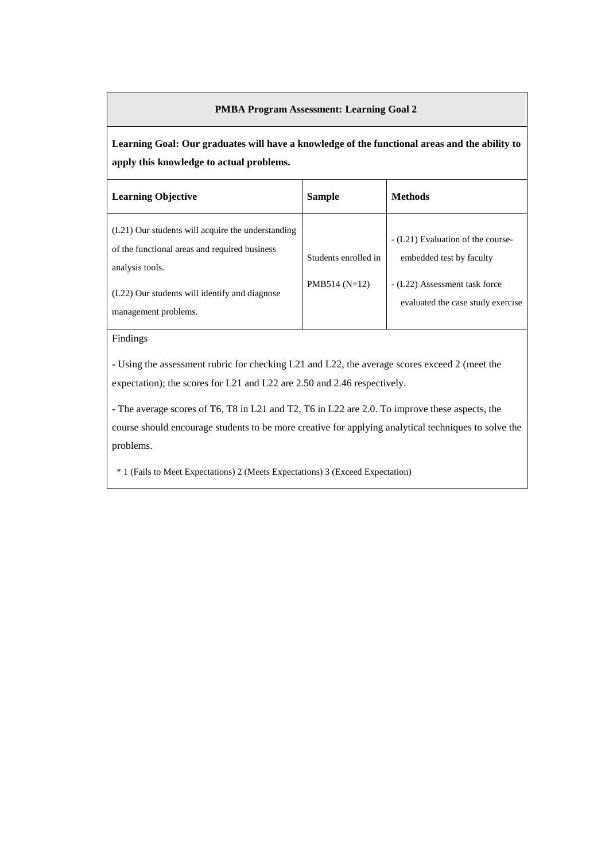**Learning Goal: Our graduates will have a knowledge of the functional areas and the ability to apply this knowledge to actual problems.**

| <b>Learning Objective</b>                                                                                                                                                                      | <b>Sample</b>                           | <b>Methods</b>                                                                                                                      |
|------------------------------------------------------------------------------------------------------------------------------------------------------------------------------------------------|-----------------------------------------|-------------------------------------------------------------------------------------------------------------------------------------|
| (L21) Our students will acquire the understanding<br>of the functional areas and required business<br>analysis tools.<br>(L22) Our students will identify and diagnose<br>management problems. | Students enrolled in<br>$PMB514 (N=12)$ | - (L21) Evaluation of the course-<br>embedded test by faculty<br>- (L22) Assessment task force<br>evaluated the case study exercise |

Findings

- Using the assessment rubric for checking L21 and L22, the average scores exceed 2 (meet the expectation); the scores for L21 and L22 are 2.50 and 2.46 respectively.

- The average scores of T6, T8 in L21 and T2, T6 in L22 are 2.0. To improve these aspects, the course should encourage students to be more creative for applying analytical techniques to solve the problems.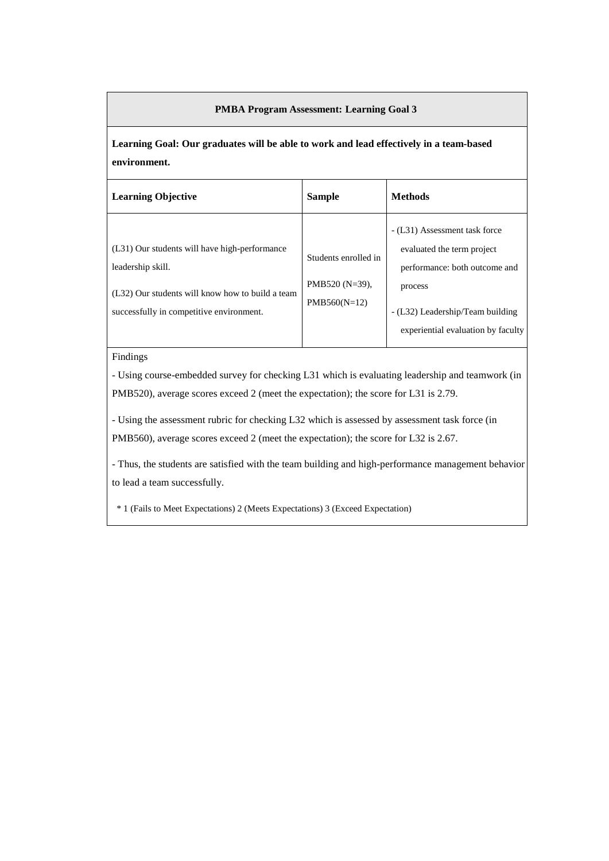**Learning Goal: Our graduates will be able to work and lead effectively in a team-based environment.**

| <b>Learning Objective</b>                                                                                                                                          | <b>Sample</b>                                            | <b>Methods</b>                                                                                                                                                                    |
|--------------------------------------------------------------------------------------------------------------------------------------------------------------------|----------------------------------------------------------|-----------------------------------------------------------------------------------------------------------------------------------------------------------------------------------|
| (L31) Our students will have high-performance<br>leadership skill.<br>(L32) Our students will know how to build a team<br>successfully in competitive environment. | Students enrolled in<br>PMB520 (N=39),<br>$PMB560(N=12)$ | - (L31) Assessment task force<br>evaluated the term project<br>performance: both outcome and<br>process<br>- (L32) Leadership/Team building<br>experiential evaluation by faculty |
|                                                                                                                                                                    |                                                          |                                                                                                                                                                                   |

Findings

- Using course-embedded survey for checking L31 which is evaluating leadership and teamwork (in PMB520), average scores exceed 2 (meet the expectation); the score for L31 is 2.79.

- Using the assessment rubric for checking L32 which is assessed by assessment task force (in PMB560), average scores exceed 2 (meet the expectation); the score for L32 is 2.67.

- Thus, the students are satisfied with the team building and high-performance management behavior to lead a team successfully.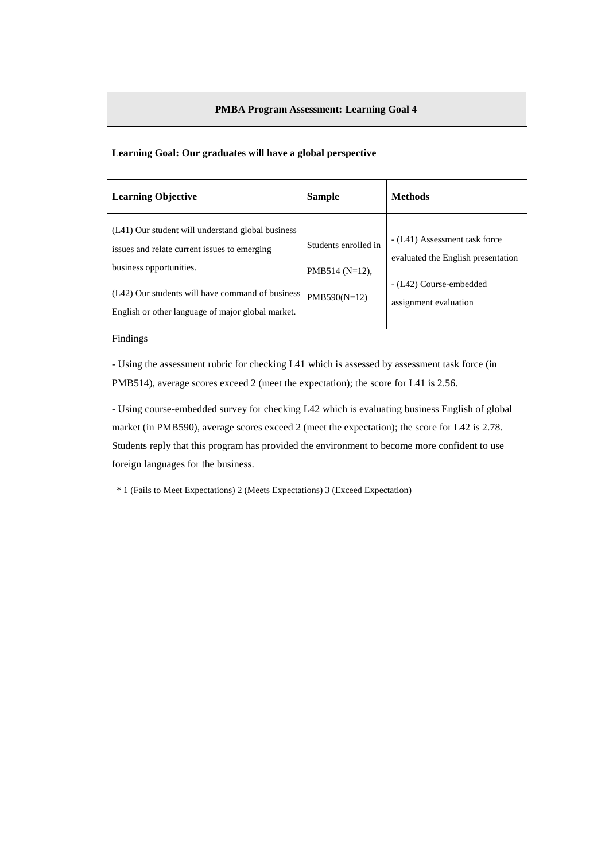# **Learning Goal: Our graduates will have a global perspective**

| <b>Learning Objective</b>                                                                                                                                                                                                             | <b>Sample</b>                                               | <b>Methods</b>                                                                                                          |
|---------------------------------------------------------------------------------------------------------------------------------------------------------------------------------------------------------------------------------------|-------------------------------------------------------------|-------------------------------------------------------------------------------------------------------------------------|
| (L41) Our student will understand global business<br>issues and relate current issues to emerging<br>business opportunities.<br>(L42) Our students will have command of business<br>English or other language of major global market. | Students enrolled in<br>PMB514 $(N=12)$ ,<br>$PMB590(N=12)$ | - (L41) Assessment task force<br>evaluated the English presentation<br>- (L42) Course-embedded<br>assignment evaluation |
|                                                                                                                                                                                                                                       |                                                             |                                                                                                                         |

### Findings

- Using the assessment rubric for checking L41 which is assessed by assessment task force (in PMB514), average scores exceed 2 (meet the expectation); the score for L41 is 2.56.

- Using course-embedded survey for checking L42 which is evaluating business English of global market (in PMB590), average scores exceed 2 (meet the expectation); the score for L42 is 2.78. Students reply that this program has provided the environment to become more confident to use foreign languages for the business.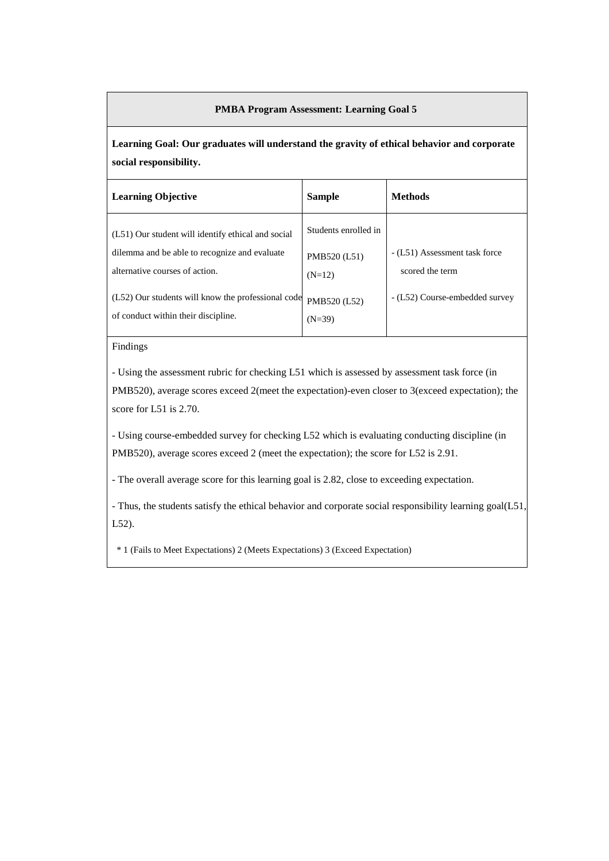**Learning Goal: Our graduates will understand the gravity of ethical behavior and corporate social responsibility.**

| <b>Learning Objective</b>                                                                                                             | <b>Sample</b>                                    | <b>Methods</b>                                   |
|---------------------------------------------------------------------------------------------------------------------------------------|--------------------------------------------------|--------------------------------------------------|
| (L51) Our student will identify ethical and social<br>dilemma and be able to recognize and evaluate<br>alternative courses of action. | Students enrolled in<br>PMB520 (L51)<br>$(N=12)$ | - (L51) Assessment task force<br>scored the term |
| (L52) Our students will know the professional code<br>of conduct within their discipline.                                             | PMB520 (L52)<br>$(N=39)$                         | - (L52) Course-embedded survey                   |

# Findings

- Using the assessment rubric for checking L51 which is assessed by assessment task force (in PMB520), average scores exceed 2(meet the expectation)-even closer to 3(exceed expectation); the score for L51 is 2.70.

- Using course-embedded survey for checking L52 which is evaluating conducting discipline (in PMB520), average scores exceed 2 (meet the expectation); the score for L52 is 2.91.

- The overall average score for this learning goal is 2.82, close to exceeding expectation.

- Thus, the students satisfy the ethical behavior and corporate social responsibility learning goal(L51, L52).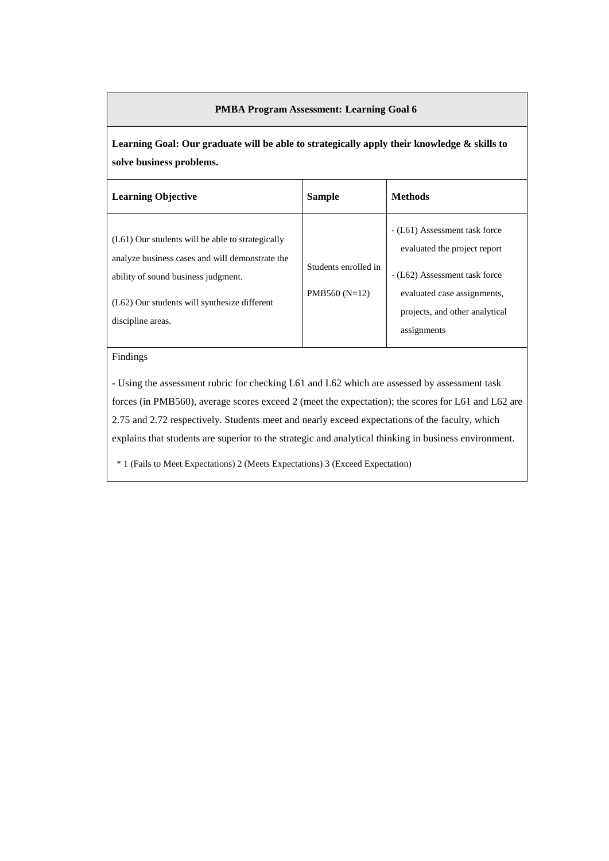**Learning Goal: Our graduate will be able to strategically apply their knowledge & skills to solve business problems.**

| <b>Learning Objective</b>                                                                                                                                                                                           | <b>Sample</b>                           | <b>Methods</b>                                                                                                                                                                 |
|---------------------------------------------------------------------------------------------------------------------------------------------------------------------------------------------------------------------|-----------------------------------------|--------------------------------------------------------------------------------------------------------------------------------------------------------------------------------|
| $(L61)$ Our students will be able to strategically<br>analyze business cases and will demonstrate the<br>ability of sound business judgment.<br>$(L62)$ Our students will synthesize different<br>discipline areas. | Students enrolled in<br>PMB560 $(N=12)$ | - (L61) Assessment task force<br>evaluated the project report<br>- (L62) Assessment task force<br>evaluated case assignments,<br>projects, and other analytical<br>assignments |

# Findings

- Using the assessment rubric for checking L61 and L62 which are assessed by assessment task forces (in PMB560), average scores exceed 2 (meet the expectation); the scores for L61 and L62 are 2.75 and 2.72 respectively. Students meet and nearly exceed expectations of the faculty, which explains that students are superior to the strategic and analytical thinking in business environment.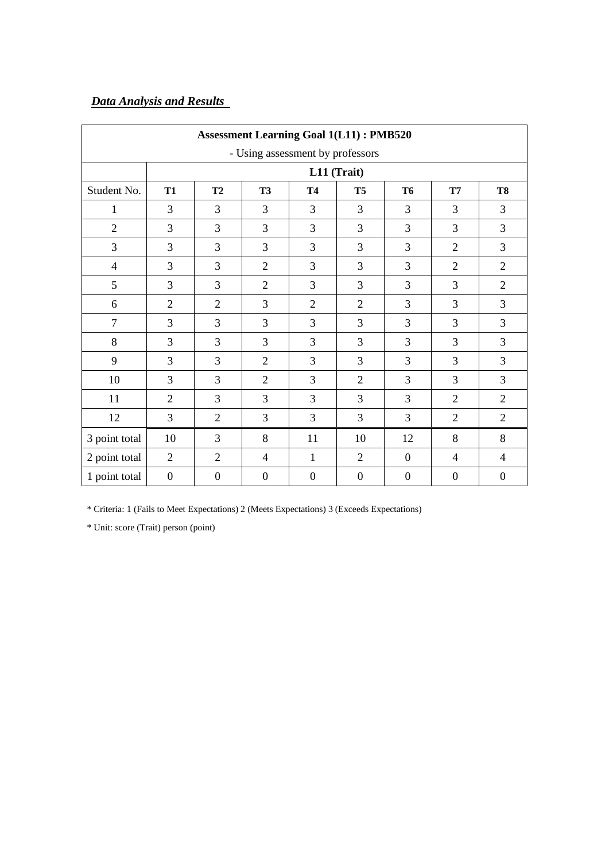# *Data Analysis and Results*

| <b>Assessment Learning Goal 1(L11): PMB520</b> |                  |                                                                                                        |                  |                  |                  |                  |                |                  |  |  |
|------------------------------------------------|------------------|--------------------------------------------------------------------------------------------------------|------------------|------------------|------------------|------------------|----------------|------------------|--|--|
| - Using assessment by professors               |                  |                                                                                                        |                  |                  |                  |                  |                |                  |  |  |
|                                                |                  |                                                                                                        |                  | L11 (Trait)      |                  |                  |                |                  |  |  |
| Student No.                                    | <b>T1</b>        | <b>T3</b><br>T <sub>5</sub><br><b>T7</b><br>T <sub>8</sub><br>T <sub>2</sub><br><b>T4</b><br><b>T6</b> |                  |                  |                  |                  |                |                  |  |  |
| $\mathbf{1}$                                   | 3                | 3                                                                                                      | 3                | 3                | 3                | 3                | 3              | 3                |  |  |
| $\overline{2}$                                 | 3                | 3                                                                                                      | 3                | 3                | 3                | 3                | 3              | 3                |  |  |
| $\overline{3}$                                 | 3                | 3                                                                                                      | 3                | 3                | 3                | 3                | $\overline{2}$ | 3                |  |  |
| $\overline{4}$                                 | 3                | 3                                                                                                      | $\overline{2}$   | 3                | 3                | 3                | $\overline{2}$ | $\overline{2}$   |  |  |
| 5                                              | 3                | 3                                                                                                      | $\overline{2}$   | 3                | 3                | 3                | 3              | $\overline{2}$   |  |  |
| 6                                              | $\overline{2}$   | $\overline{2}$                                                                                         | 3                | $\overline{2}$   | $\overline{2}$   | 3                | 3              | 3                |  |  |
| $\overline{7}$                                 | 3                | 3                                                                                                      | 3                | 3                | 3                | 3                | 3              | 3                |  |  |
| 8                                              | 3                | 3                                                                                                      | 3                | 3                | 3                | 3                | 3              | 3                |  |  |
| 9                                              | 3                | 3                                                                                                      | $\overline{2}$   | 3                | 3                | 3                | 3              | 3                |  |  |
| 10                                             | 3                | 3                                                                                                      | $\overline{2}$   | 3                | $\overline{2}$   | 3                | 3              | 3                |  |  |
| 11                                             | $\overline{2}$   | 3                                                                                                      | 3                | 3                | 3                | 3                | $\overline{2}$ | $\overline{2}$   |  |  |
| 12                                             | 3                | $\overline{2}$                                                                                         | 3                | 3                | 3                | 3                | $\overline{2}$ | $\overline{2}$   |  |  |
| 3 point total                                  | 10               | 3                                                                                                      | 8                | 11               | 10               | 12               | 8              | 8                |  |  |
| 2 point total                                  | $\overline{2}$   | $\overline{2}$                                                                                         | 4                | 1                | $\overline{2}$   | $\boldsymbol{0}$ | $\overline{4}$ | $\overline{4}$   |  |  |
| 1 point total                                  | $\boldsymbol{0}$ | $\boldsymbol{0}$                                                                                       | $\boldsymbol{0}$ | $\boldsymbol{0}$ | $\boldsymbol{0}$ | $\boldsymbol{0}$ | $\overline{0}$ | $\boldsymbol{0}$ |  |  |

\* Criteria: 1 (Fails to Meet Expectations) 2 (Meets Expectations) 3 (Exceeds Expectations)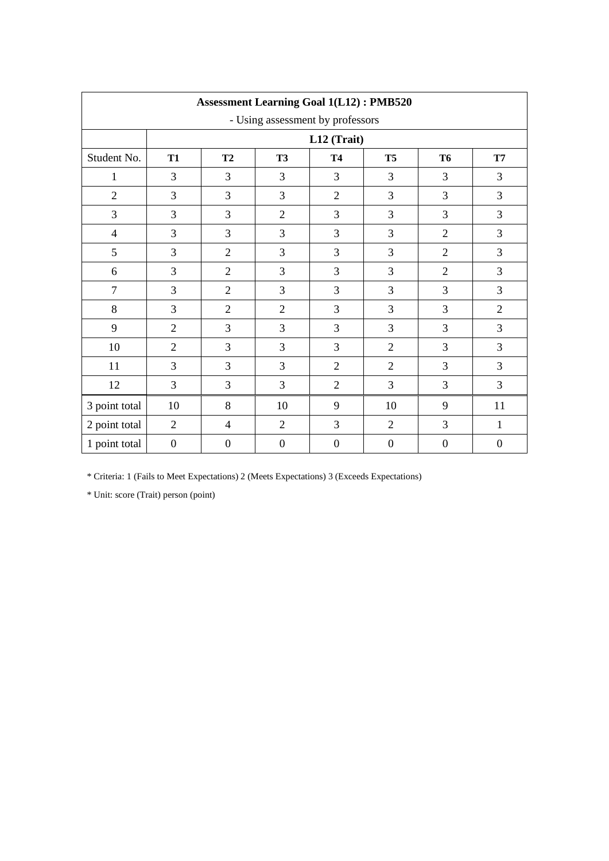| <b>Assessment Learning Goal 1(L12): PMB520</b> |                  |                                                                                   |                  |                  |                  |                  |                  |  |  |
|------------------------------------------------|------------------|-----------------------------------------------------------------------------------|------------------|------------------|------------------|------------------|------------------|--|--|
| - Using assessment by professors               |                  |                                                                                   |                  |                  |                  |                  |                  |  |  |
|                                                |                  |                                                                                   |                  | L12 (Trait)      |                  |                  |                  |  |  |
| Student No.                                    | <b>T1</b>        | T2<br><b>T3</b><br><b>T4</b><br><b>T5</b><br><b>T6</b><br>$\mathbf{T} \mathbf{7}$ |                  |                  |                  |                  |                  |  |  |
| 1                                              | 3                | 3                                                                                 | 3                | 3                | 3                | 3                | 3                |  |  |
| $\overline{2}$                                 | 3                | 3                                                                                 | 3                | $\overline{2}$   | 3                | 3                | 3                |  |  |
| 3                                              | 3                | $\overline{3}$                                                                    | $\overline{2}$   | 3                | 3                | $\overline{3}$   | 3                |  |  |
| $\overline{4}$                                 | 3                | 3                                                                                 | 3                | 3                | 3                | $\overline{2}$   | 3                |  |  |
| 5                                              | 3                | $\overline{2}$                                                                    | 3                | 3                | 3                | $\overline{2}$   | 3                |  |  |
| 6                                              | 3                | $\overline{2}$                                                                    | 3                | 3                | 3                | $\overline{2}$   | 3                |  |  |
| $\overline{7}$                                 | 3                | $\overline{2}$                                                                    | 3                | 3                | 3                | $\overline{3}$   | 3                |  |  |
| 8                                              | 3                | $\overline{2}$                                                                    | $\overline{2}$   | 3                | 3                | 3                | $\mathbf{2}$     |  |  |
| 9                                              | $\overline{2}$   | $\overline{3}$                                                                    | 3                | 3                | 3                | $\overline{3}$   | 3                |  |  |
| 10                                             | $\overline{2}$   | 3                                                                                 | 3                | 3                | $\overline{2}$   | $\overline{3}$   | 3                |  |  |
| 11                                             | 3                | 3                                                                                 | 3                | $\overline{2}$   | $\overline{2}$   | $\overline{3}$   | 3                |  |  |
| 12                                             | 3                | 3                                                                                 | 3                | $\overline{2}$   | 3                | $\overline{3}$   | 3                |  |  |
| 3 point total                                  | 10               | 8                                                                                 | 10               | 9                | 10               | 9                | 11               |  |  |
| 2 point total                                  | 2                | $\overline{4}$                                                                    | $\overline{2}$   | 3                | $\overline{2}$   | $\overline{3}$   | $\mathbf{1}$     |  |  |
| 1 point total                                  | $\boldsymbol{0}$ | $\boldsymbol{0}$                                                                  | $\boldsymbol{0}$ | $\boldsymbol{0}$ | $\boldsymbol{0}$ | $\boldsymbol{0}$ | $\boldsymbol{0}$ |  |  |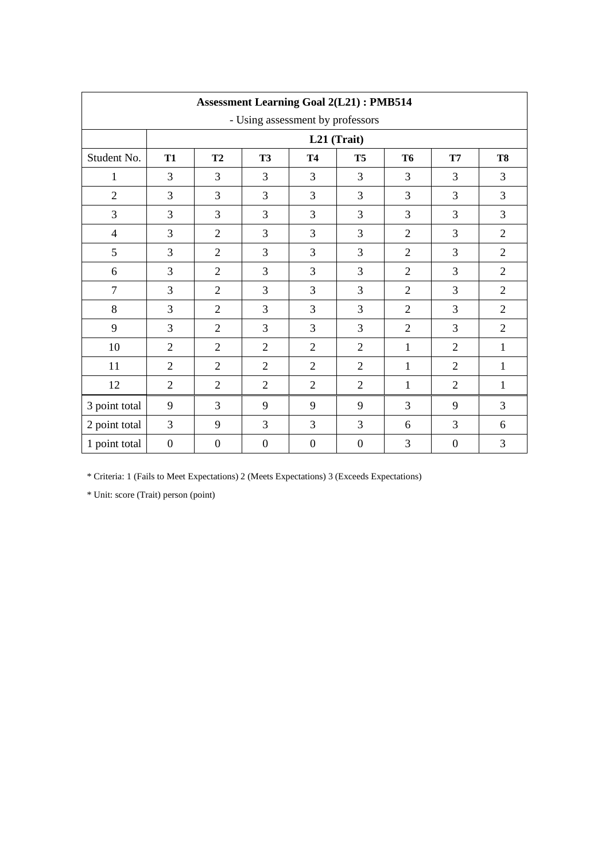| <b>Assessment Learning Goal 2(L21): PMB514</b> |                  |                  |                  |                  |                  |                |                  |                |
|------------------------------------------------|------------------|------------------|------------------|------------------|------------------|----------------|------------------|----------------|
| - Using assessment by professors               |                  |                  |                  |                  |                  |                |                  |                |
|                                                |                  |                  |                  | L21 (Trait)      |                  |                |                  |                |
| Student No.                                    | <b>T1</b>        | T2               | <b>T3</b>        | <b>T4</b>        | T <sub>5</sub>   | <b>T6</b>      | <b>T7</b>        | <b>T8</b>      |
| $\mathbf{1}$                                   | 3                | 3                | 3                | 3                | 3                | 3              | 3                | 3              |
| $\overline{2}$                                 | 3                | 3                | 3                | 3                | 3                | 3              | 3                | 3              |
| 3                                              | 3                | 3                | 3                | 3                | 3                | 3              | 3                | 3              |
| $\overline{4}$                                 | 3                | $\overline{2}$   | 3                | 3                | 3                | $\overline{2}$ | 3                | $\overline{2}$ |
| 5                                              | 3                | $\overline{2}$   | 3                | 3                | 3                | $\overline{2}$ | 3                | $\overline{2}$ |
| 6                                              | 3                | $\overline{2}$   | 3                | 3                | 3                | $\overline{2}$ | 3                | $\overline{2}$ |
| $\overline{7}$                                 | 3                | $\overline{2}$   | 3                | 3                | 3                | $\overline{2}$ | 3                | $\overline{2}$ |
| 8                                              | 3                | $\overline{2}$   | 3                | 3                | 3                | $\overline{2}$ | 3                | $\overline{2}$ |
| 9                                              | 3                | $\overline{2}$   | 3                | 3                | 3                | $\overline{2}$ | 3                | $\overline{2}$ |
| 10                                             | $\overline{2}$   | $\overline{2}$   | $\overline{2}$   | $\overline{2}$   | $\overline{2}$   | $\mathbf{1}$   | $\overline{2}$   | 1              |
| 11                                             | $\overline{2}$   | $\overline{2}$   | $\overline{2}$   | $\overline{2}$   | $\overline{2}$   | $\mathbf{1}$   | $\overline{2}$   | $\mathbf{1}$   |
| 12                                             | 2                | $\overline{2}$   | $\mathfrak{2}$   | $\overline{2}$   | $\overline{2}$   | $\mathbf{1}$   | $\overline{2}$   | 1              |
| 3 point total                                  | 9                | 3                | 9                | 9                | 9                | 3              | 9                | 3              |
| 2 point total                                  | 3                | 9                | $\overline{3}$   | 3                | 3                | 6              | 3                | 6              |
| 1 point total                                  | $\boldsymbol{0}$ | $\boldsymbol{0}$ | $\boldsymbol{0}$ | $\boldsymbol{0}$ | $\boldsymbol{0}$ | 3              | $\boldsymbol{0}$ | 3              |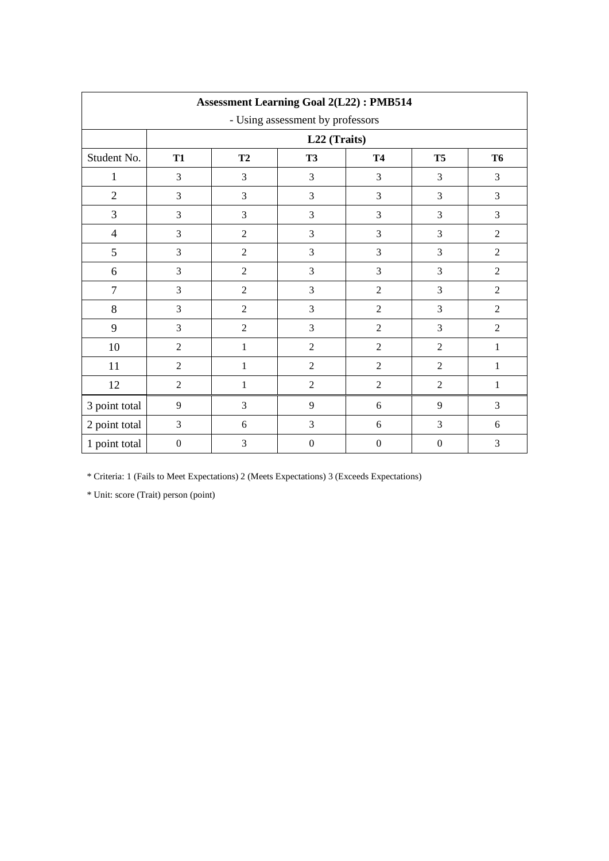| <b>Assessment Learning Goal 2(L22): PMB514</b> |                  |                                                        |                  |                  |                  |                |  |  |  |  |
|------------------------------------------------|------------------|--------------------------------------------------------|------------------|------------------|------------------|----------------|--|--|--|--|
| - Using assessment by professors               |                  |                                                        |                  |                  |                  |                |  |  |  |  |
|                                                | L22 (Traits)     |                                                        |                  |                  |                  |                |  |  |  |  |
| Student No.                                    | <b>T1</b>        | T2<br><b>T3</b><br><b>T5</b><br><b>T6</b><br><b>T4</b> |                  |                  |                  |                |  |  |  |  |
| $\mathbf{1}$                                   | 3                | 3                                                      | 3                | 3                | 3                | 3              |  |  |  |  |
| $\mathbf{2}$                                   | 3                | 3                                                      | 3                | 3                | 3                | 3              |  |  |  |  |
| 3                                              | $\mathfrak{Z}$   | 3                                                      | $\mathfrak{Z}$   | $\mathfrak{Z}$   | $\mathfrak{Z}$   | 3              |  |  |  |  |
| $\overline{4}$                                 | 3                | $\overline{2}$                                         | 3                | 3                | 3                | $\overline{2}$ |  |  |  |  |
| 5                                              | 3                | $\overline{2}$                                         | 3                | $\mathfrak{Z}$   | $\mathfrak{Z}$   | $\overline{2}$ |  |  |  |  |
| 6                                              | $\mathfrak{Z}$   | $\overline{2}$                                         | $\mathfrak{Z}$   | $\mathfrak{Z}$   | $\mathfrak{Z}$   | $\sqrt{2}$     |  |  |  |  |
| $\tau$                                         | $\overline{3}$   | $\overline{2}$                                         | 3                | $\sqrt{2}$       | 3                | $\overline{2}$ |  |  |  |  |
| 8                                              | 3                | $\overline{2}$                                         | 3                | $\overline{2}$   | 3                | $\sqrt{2}$     |  |  |  |  |
| 9                                              | $\overline{3}$   | $\overline{2}$                                         | 3                | $\sqrt{2}$       | 3                | $\sqrt{2}$     |  |  |  |  |
| 10                                             | $\overline{2}$   | $\mathbf{1}$                                           | $\overline{2}$   | $\overline{2}$   | $\overline{2}$   | $\mathbf 1$    |  |  |  |  |
| 11                                             | $\overline{2}$   | $\mathbf{1}$                                           | $\overline{2}$   | $\overline{2}$   | $\overline{2}$   | $\mathbf{1}$   |  |  |  |  |
| 12                                             | $\sqrt{2}$       | $\mathbf{1}$                                           | $\sqrt{2}$       | $\sqrt{2}$       | $\overline{2}$   | $\mathbf{1}$   |  |  |  |  |
| 3 point total                                  | $\overline{9}$   | 3                                                      | 9                | 6                | 9                | 3              |  |  |  |  |
| 2 point total                                  | $\mathfrak{Z}$   | 6                                                      | 3                | 6                | 3                | $\sqrt{6}$     |  |  |  |  |
| 1 point total                                  | $\boldsymbol{0}$ | 3                                                      | $\boldsymbol{0}$ | $\boldsymbol{0}$ | $\boldsymbol{0}$ | 3              |  |  |  |  |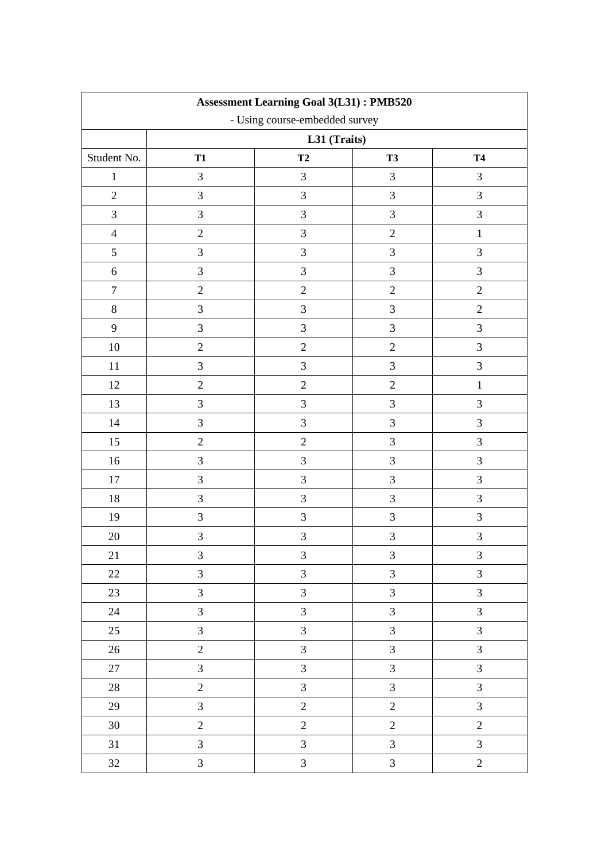| <b>Assessment Learning Goal 3(L31): PMB520</b> |                |                |                |                |  |  |  |
|------------------------------------------------|----------------|----------------|----------------|----------------|--|--|--|
| - Using course-embedded survey                 |                |                |                |                |  |  |  |
|                                                | L31 (Traits)   |                |                |                |  |  |  |
| Student No.                                    | <b>T1</b>      | T2             | <b>T3</b>      | <b>T4</b>      |  |  |  |
| $\mathbf{1}$                                   | $\mathfrak{Z}$ | 3              | $\mathfrak{Z}$ | $\mathfrak{Z}$ |  |  |  |
| $\overline{2}$                                 | $\mathfrak{Z}$ | 3              | $\mathfrak{Z}$ | 3              |  |  |  |
| 3                                              | 3              | 3              | 3              | $\mathfrak{Z}$ |  |  |  |
| $\overline{4}$                                 | $\mathbf{2}$   | 3              | $\sqrt{2}$     | $\,1\,$        |  |  |  |
| 5                                              | 3              | 3              | $\mathfrak{Z}$ | $\mathfrak{Z}$ |  |  |  |
| $\sqrt{6}$                                     | 3              | 3              | 3              | 3              |  |  |  |
| $\boldsymbol{7}$                               | $\overline{2}$ | $\overline{2}$ | $\overline{2}$ | $\overline{2}$ |  |  |  |
| $8\,$                                          | 3              | 3              | $\mathfrak{Z}$ | $\sqrt{2}$     |  |  |  |
| 9                                              | $\mathfrak{Z}$ | 3              | $\mathfrak{Z}$ | $\mathfrak{Z}$ |  |  |  |
| 10                                             | $\sqrt{2}$     | $\overline{2}$ | $\sqrt{2}$     | $\mathfrak{Z}$ |  |  |  |
| 11                                             | 3              | 3              | $\mathfrak{Z}$ | 3              |  |  |  |
| $12\,$                                         | $\sqrt{2}$     | $\overline{2}$ | $\sqrt{2}$     | $\mathbf{1}$   |  |  |  |
| 13                                             | 3              | 3              | $\mathfrak{Z}$ | 3              |  |  |  |
| 14                                             | $\mathfrak{Z}$ | 3              | $\mathfrak{Z}$ | 3              |  |  |  |
| 15                                             | $\sqrt{2}$     | $\overline{c}$ | 3              | 3              |  |  |  |
| 16                                             | $\mathfrak{Z}$ | 3              | $\mathfrak{Z}$ | $\mathfrak{Z}$ |  |  |  |
| 17                                             | $\mathfrak{Z}$ | 3              | $\mathfrak{Z}$ | $\mathfrak{Z}$ |  |  |  |
| 18                                             | 3              | 3              | $\mathfrak{Z}$ | 3              |  |  |  |
| 19                                             | $\mathfrak{Z}$ | $\overline{3}$ | 3              | $\mathfrak{Z}$ |  |  |  |
| $20\,$                                         | 3              | $\mathfrak{Z}$ | 3              | $\mathfrak{Z}$ |  |  |  |
| 21                                             | 3              | 3              | 3              | 3              |  |  |  |
| $22\,$                                         | $\mathfrak{Z}$ | $\overline{3}$ | $\mathfrak{Z}$ | 3              |  |  |  |
| 23                                             | 3              | 3              | $\overline{3}$ | $\mathfrak{Z}$ |  |  |  |
| 24                                             | $\mathfrak{Z}$ | 3              | $\mathfrak{Z}$ | $\mathfrak{Z}$ |  |  |  |
| 25                                             | $\overline{3}$ | $\overline{3}$ | $\overline{3}$ | $\mathfrak{Z}$ |  |  |  |
| $26\,$                                         | $\overline{2}$ | $\overline{3}$ | $\overline{3}$ | $\mathfrak{Z}$ |  |  |  |
| $27\,$                                         | $\overline{3}$ | 3              | 3              | $\mathfrak{Z}$ |  |  |  |
| $28\,$                                         | $\sqrt{2}$     | 3              | $\overline{3}$ | $\mathfrak{Z}$ |  |  |  |
| 29                                             | $\overline{3}$ | $\overline{2}$ | $\overline{c}$ | 3              |  |  |  |
| 30                                             | $\overline{2}$ | $\overline{2}$ | $\overline{c}$ | $\overline{2}$ |  |  |  |
| 31                                             | $\overline{3}$ | 3              | $\mathfrak{Z}$ | $\mathfrak{Z}$ |  |  |  |
| 32                                             | $\mathfrak{Z}$ | 3              | $\overline{3}$ | $\overline{2}$ |  |  |  |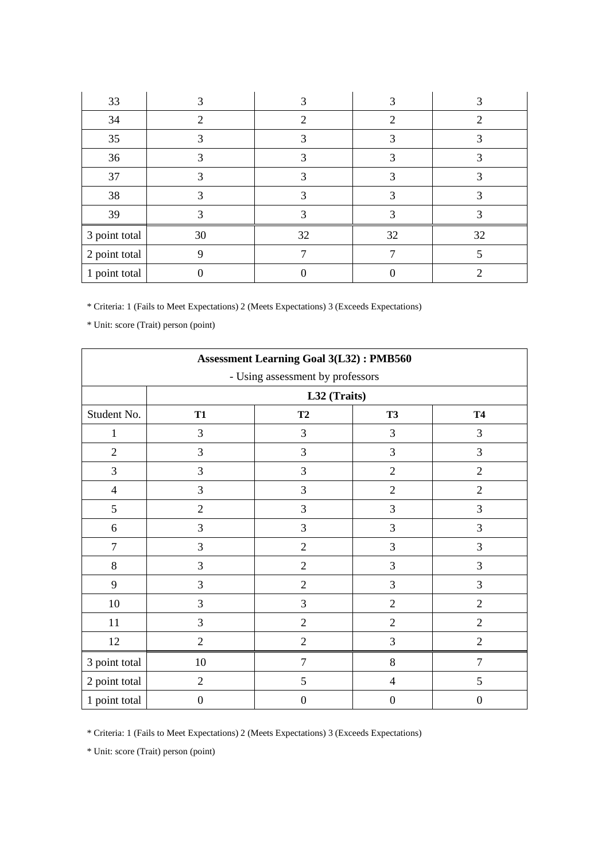| 33            |    |    |    |    |
|---------------|----|----|----|----|
| 34            |    | 2  |    |    |
| 35            |    |    |    |    |
| 36            | 3  | 3  | 3  |    |
| 37            |    |    |    |    |
| 38            |    | 3  |    |    |
| 39            |    |    |    |    |
| 3 point total | 30 | 32 | 32 | 32 |
| 2 point total | 9  |    |    |    |
| 1 point total |    |    |    |    |

\* Unit: score (Trait) person (point)

| <b>Assessment Learning Goal 3(L32): PMB560</b> |                                           |                  |                  |                  |  |  |  |  |
|------------------------------------------------|-------------------------------------------|------------------|------------------|------------------|--|--|--|--|
| - Using assessment by professors               |                                           |                  |                  |                  |  |  |  |  |
|                                                |                                           | L32 (Traits)     |                  |                  |  |  |  |  |
| Student No.                                    | T2<br><b>T1</b><br><b>T3</b><br><b>T4</b> |                  |                  |                  |  |  |  |  |
| $\mathbf{1}$                                   | 3                                         | 3                | 3                | 3                |  |  |  |  |
| $\overline{2}$                                 | 3                                         | 3                | 3                | 3                |  |  |  |  |
| 3                                              | 3                                         | 3                | $\sqrt{2}$       | $\overline{2}$   |  |  |  |  |
| $\overline{4}$                                 | 3                                         | 3                | $\overline{2}$   | $\overline{2}$   |  |  |  |  |
| 5                                              | $\sqrt{2}$                                | $\mathfrak{Z}$   | 3                | 3                |  |  |  |  |
| 6                                              | 3                                         | 3                | $\mathfrak{Z}$   | 3                |  |  |  |  |
| $\overline{7}$                                 | 3                                         | $\overline{2}$   | 3                | 3                |  |  |  |  |
| 8                                              | 3                                         | $\overline{2}$   | 3                | 3                |  |  |  |  |
| 9                                              | 3                                         | $\overline{2}$   | 3                | 3                |  |  |  |  |
| 10                                             | 3                                         | 3                | $\overline{2}$   | $\overline{2}$   |  |  |  |  |
| 11                                             | 3                                         | $\overline{2}$   | $\overline{2}$   | $\overline{2}$   |  |  |  |  |
| 12                                             | $\mathfrak{2}$                            | $\overline{2}$   | $\mathfrak{Z}$   | $\overline{2}$   |  |  |  |  |
| 3 point total                                  | 10                                        | $\overline{7}$   | 8                | $\overline{7}$   |  |  |  |  |
| 2 point total                                  | $\overline{2}$                            | 5                | $\overline{4}$   | 5                |  |  |  |  |
| 1 point total                                  | $\boldsymbol{0}$                          | $\boldsymbol{0}$ | $\boldsymbol{0}$ | $\boldsymbol{0}$ |  |  |  |  |

\* Criteria: 1 (Fails to Meet Expectations) 2 (Meets Expectations) 3 (Exceeds Expectations)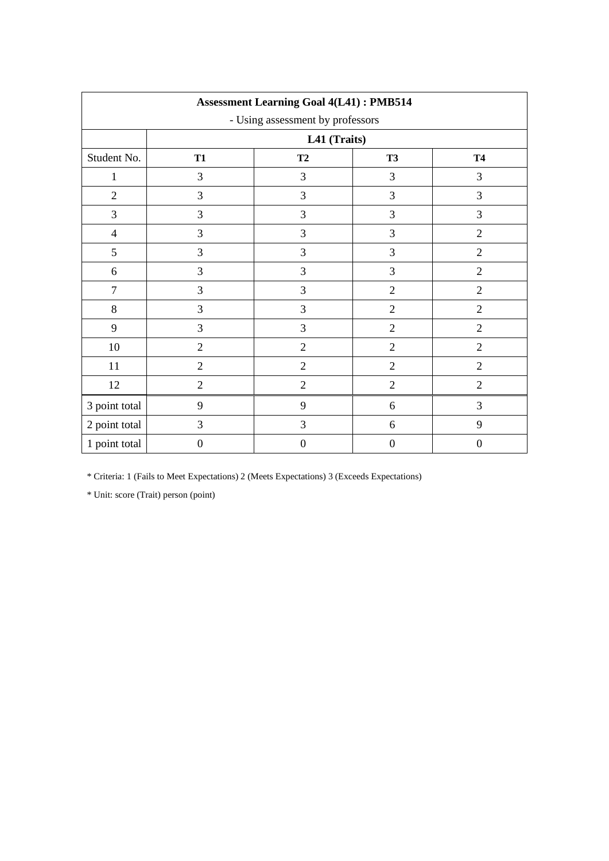| <b>Assessment Learning Goal 4(L41): PMB514</b> |                  |                              |                  |                  |  |  |  |  |  |
|------------------------------------------------|------------------|------------------------------|------------------|------------------|--|--|--|--|--|
| - Using assessment by professors               |                  |                              |                  |                  |  |  |  |  |  |
|                                                |                  | L41 (Traits)                 |                  |                  |  |  |  |  |  |
| Student No.                                    | <b>T1</b>        | T2<br><b>T3</b><br><b>T4</b> |                  |                  |  |  |  |  |  |
| $\mathbf{1}$                                   | 3                | 3                            | 3                | 3                |  |  |  |  |  |
| $\overline{2}$                                 | 3                | 3                            | $\mathfrak{Z}$   | 3                |  |  |  |  |  |
| 3                                              | 3                | 3                            | $\mathfrak{Z}$   | 3                |  |  |  |  |  |
| $\overline{4}$                                 | 3                | 3                            | $\mathfrak{Z}$   | $\overline{2}$   |  |  |  |  |  |
| 5                                              | 3                | 3                            | $\mathfrak{Z}$   | $\overline{2}$   |  |  |  |  |  |
| 6                                              | 3                | 3                            | $\mathfrak{Z}$   | $\overline{2}$   |  |  |  |  |  |
| $\tau$                                         | 3                | 3                            | $\overline{2}$   | $\overline{2}$   |  |  |  |  |  |
| $8\,$                                          | 3                | 3                            | $\overline{2}$   | $\overline{2}$   |  |  |  |  |  |
| 9                                              | 3                | 3                            | $\sqrt{2}$       | $\overline{2}$   |  |  |  |  |  |
| $10\,$                                         | $\overline{2}$   | $\overline{2}$               | $\overline{2}$   | $\overline{2}$   |  |  |  |  |  |
| $11\,$                                         | $\overline{2}$   | $\overline{2}$               | $\overline{2}$   | $\overline{2}$   |  |  |  |  |  |
| 12                                             | $\sqrt{2}$       | $\overline{2}$               | $\sqrt{2}$       | $\overline{2}$   |  |  |  |  |  |
| 3 point total                                  | 9                | 9                            | 6                | 3                |  |  |  |  |  |
| 2 point total                                  | $\mathfrak{Z}$   | 3                            | 6                | 9                |  |  |  |  |  |
| 1 point total                                  | $\boldsymbol{0}$ | $\boldsymbol{0}$             | $\boldsymbol{0}$ | $\boldsymbol{0}$ |  |  |  |  |  |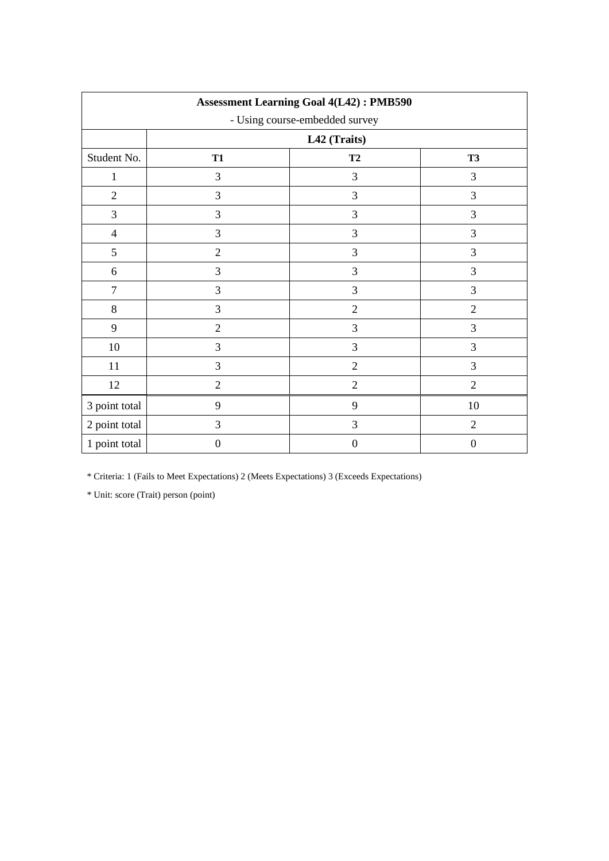| <b>Assessment Learning Goal 4(L42): PMB590</b> |                                |                |                  |  |  |  |
|------------------------------------------------|--------------------------------|----------------|------------------|--|--|--|
|                                                | - Using course-embedded survey |                |                  |  |  |  |
|                                                |                                | L42 (Traits)   |                  |  |  |  |
| Student No.                                    | <b>T1</b>                      | T2             | <b>T3</b>        |  |  |  |
| $\mathbf{1}$                                   | 3                              | 3              | 3                |  |  |  |
| $\overline{2}$                                 | 3                              | $\mathfrak{Z}$ | 3                |  |  |  |
| 3                                              | 3                              | $\mathfrak{Z}$ | $\mathfrak{Z}$   |  |  |  |
| $\overline{4}$                                 | 3                              | $\mathfrak{Z}$ | $\overline{3}$   |  |  |  |
| 5                                              | $\overline{2}$                 | $\mathfrak{Z}$ | $\mathfrak{Z}$   |  |  |  |
| 6                                              | $\overline{3}$                 | 3              | $\mathfrak{Z}$   |  |  |  |
| $\tau$                                         | $\overline{3}$                 | 3              | 3                |  |  |  |
| $8\,$                                          | $\overline{3}$                 | $\overline{2}$ | $\overline{2}$   |  |  |  |
| 9                                              | $\overline{2}$                 | 3              | 3                |  |  |  |
| 10                                             | 3                              | 3              | 3                |  |  |  |
| 11                                             | $\overline{3}$                 | $\overline{2}$ | $\overline{3}$   |  |  |  |
| 12                                             | $\overline{2}$                 | $\mathbf{2}$   | $\mathbf{2}$     |  |  |  |
| 3 point total                                  | 9                              | 9              | 10               |  |  |  |
| 2 point total                                  | 3                              | 3              | $\overline{2}$   |  |  |  |
| 1 point total                                  | $\boldsymbol{0}$               | $\mathbf{0}$   | $\boldsymbol{0}$ |  |  |  |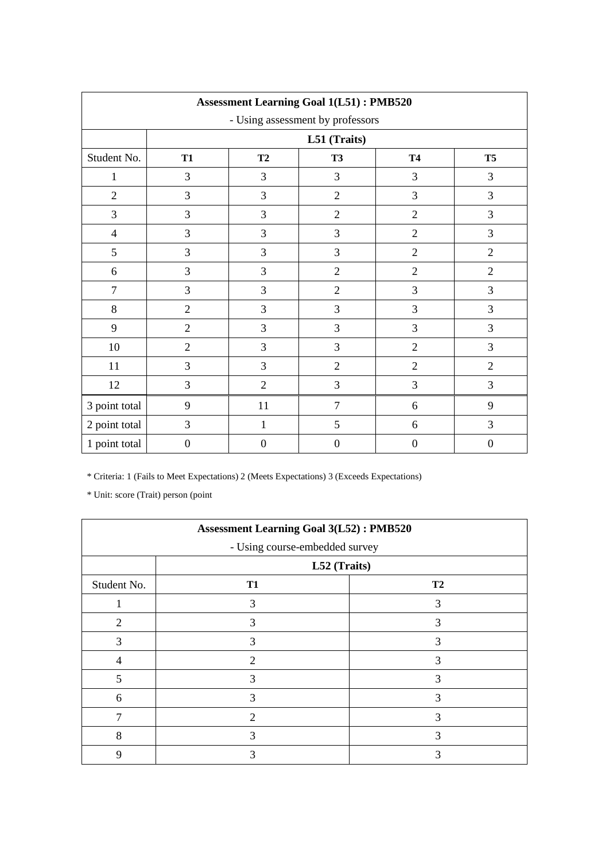| <b>Assessment Learning Goal 1(L51): PMB520</b> |                  |                                                |                |                |                  |  |  |  |  |  |
|------------------------------------------------|------------------|------------------------------------------------|----------------|----------------|------------------|--|--|--|--|--|
| - Using assessment by professors               |                  |                                                |                |                |                  |  |  |  |  |  |
|                                                |                  | L51 (Traits)                                   |                |                |                  |  |  |  |  |  |
| Student No.                                    | <b>T1</b>        | T <sub>5</sub><br>T2<br><b>T3</b><br><b>T4</b> |                |                |                  |  |  |  |  |  |
| $\mathbf{1}$                                   | 3                | 3                                              | 3              | 3              | 3                |  |  |  |  |  |
| $\overline{2}$                                 | 3                | $\mathfrak{Z}$                                 | $\overline{2}$ | 3              | 3                |  |  |  |  |  |
| 3                                              | 3                | 3                                              | $\overline{2}$ | $\sqrt{2}$     | 3                |  |  |  |  |  |
| $\overline{4}$                                 | 3                | $\mathfrak{Z}$                                 | 3              | $\sqrt{2}$     | 3                |  |  |  |  |  |
| 5                                              | 3                | $\mathfrak{Z}$                                 | 3              | $\sqrt{2}$     | $\overline{2}$   |  |  |  |  |  |
| 6                                              | 3                | 3                                              | $\overline{2}$ | $\overline{2}$ | $\overline{2}$   |  |  |  |  |  |
| $\tau$                                         | 3                | 3                                              | $\overline{2}$ | 3              | 3                |  |  |  |  |  |
| 8                                              | $\overline{2}$   | 3                                              | 3              | 3              | $\mathfrak{Z}$   |  |  |  |  |  |
| 9                                              | $\overline{2}$   | 3                                              | 3              | 3              | 3                |  |  |  |  |  |
| 10                                             | $\overline{2}$   | $\mathfrak{Z}$                                 | 3              | $\overline{2}$ | $\mathfrak{Z}$   |  |  |  |  |  |
| 11                                             | 3                | 3                                              | $\overline{2}$ | $\overline{2}$ | $\overline{2}$   |  |  |  |  |  |
| 12                                             | 3                | $\mathfrak{2}$                                 | 3              | 3              | 3                |  |  |  |  |  |
| 3 point total                                  | 9                | 11                                             | $\overline{7}$ | 6              | 9                |  |  |  |  |  |
| 2 point total                                  | 3                | $\mathbf{1}$                                   | 5              | 6              | 3                |  |  |  |  |  |
| 1 point total                                  | $\boldsymbol{0}$ | $\boldsymbol{0}$                               | $\mathbf{0}$   | $\mathbf{0}$   | $\boldsymbol{0}$ |  |  |  |  |  |

| <b>Assessment Learning Goal 3(L52): PMB520</b> |                                                |                |  |  |  |  |
|------------------------------------------------|------------------------------------------------|----------------|--|--|--|--|
|                                                | - Using course-embedded survey<br>L52 (Traits) |                |  |  |  |  |
| Student No.                                    | <b>T1</b>                                      | T <sub>2</sub> |  |  |  |  |
|                                                | 3                                              | 3              |  |  |  |  |
| $\overline{2}$                                 | 3                                              | 3              |  |  |  |  |
| 3                                              | 3                                              | 3              |  |  |  |  |
| 4                                              | $\mathcal{D}$                                  | 3              |  |  |  |  |
| 5                                              | 3                                              | 3              |  |  |  |  |
| 6                                              | 3                                              | 3              |  |  |  |  |
|                                                | $\overline{2}$                                 | 3              |  |  |  |  |
| 8                                              | 3                                              | 3              |  |  |  |  |
| 9                                              | 3                                              | 3              |  |  |  |  |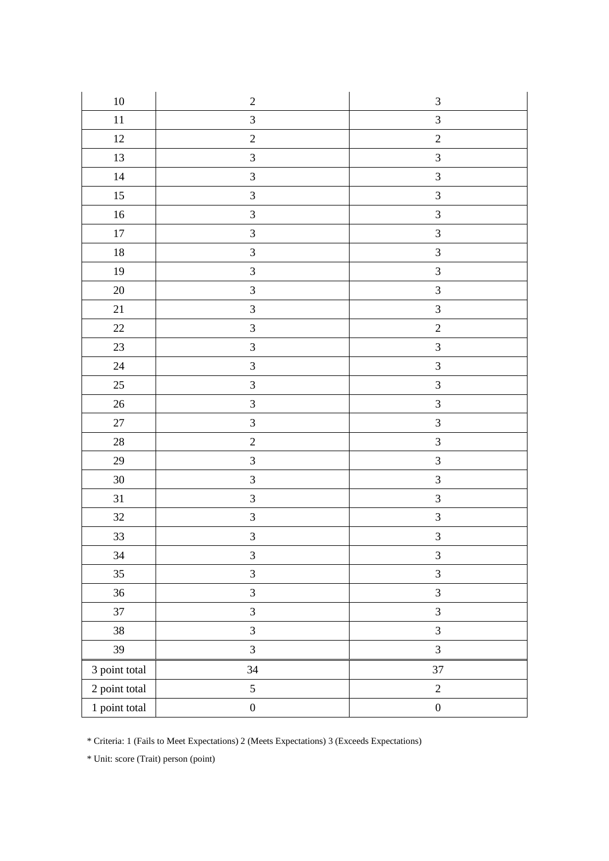| $10\,$        | $\overline{c}$          | $\ensuremath{\mathfrak{Z}}$ |
|---------------|-------------------------|-----------------------------|
| $11\,$        | $\overline{\mathbf{3}}$ | $\overline{3}$              |
| $12\,$        | $\sqrt{2}$              | $\sqrt{2}$                  |
| 13            | $\overline{3}$          | $\ensuremath{\mathfrak{Z}}$ |
| 14            | $\overline{3}$          | $\overline{3}$              |
| $15\,$        | $\overline{3}$          | $\mathfrak{Z}$              |
| $16\,$        | $\overline{3}$          | $\ensuremath{\mathfrak{Z}}$ |
| $17\,$        | $\overline{3}$          | $\mathfrak{Z}$              |
| $18\,$        | $\overline{3}$          | $\mathfrak{Z}$              |
| 19            | $\mathfrak{Z}$          | $\sqrt{3}$                  |
| $20\,$        | $\overline{\mathbf{3}}$ | $\mathfrak{Z}$              |
| $21\,$        | $\overline{3}$          | $\overline{\mathbf{3}}$     |
| $22\,$        | $\overline{3}$          | $\overline{c}$              |
| $23\,$        | $\overline{3}$          | $\overline{3}$              |
| 24            | $\overline{3}$          | $\sqrt{3}$                  |
| $25\,$        | $\overline{3}$          | $\ensuremath{\mathfrak{Z}}$ |
| $26\,$        | $\overline{3}$          | $\overline{\mathbf{3}}$     |
| $27\,$        | $\overline{3}$          | $\mathfrak{Z}$              |
| $28\,$        | $\overline{c}$          | $\overline{3}$              |
| $29\,$        | $\overline{3}$          | $\mathfrak{Z}$              |
| $30\,$        | $\overline{3}$          | $\mathfrak{Z}$              |
| $31\,$        | $\overline{3}$          | $\mathfrak{Z}$              |
| $32\,$        | $\overline{3}$          | $\overline{\mathbf{3}}$     |
| 33            | $\overline{\mathbf{3}}$ | $\mathfrak{Z}$              |
| 34            | $\mathfrak{Z}$          | $\ensuremath{\mathfrak{Z}}$ |
| 35            | $\overline{3}$          | $\mathfrak{Z}$              |
| 36            | $\overline{3}$          | $\mathfrak{Z}$              |
| $37\,$        | 3                       | $\mathfrak{Z}$              |
| 38            | $\overline{3}$          | $\mathfrak{Z}$              |
| 39            | $\overline{3}$          | $\overline{3}$              |
| 3 point total | 34                      | 37                          |
| 2 point total | 5                       | $\sqrt{2}$                  |
| 1 point total | $\boldsymbol{0}$        | $\boldsymbol{0}$            |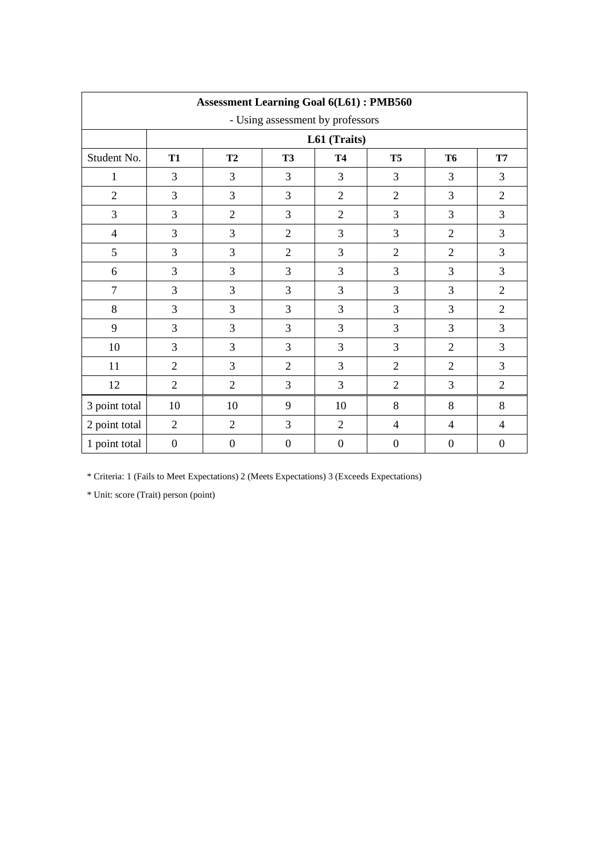| <b>Assessment Learning Goal 6(L61): PMB560</b> |                  |                |                  |                  |                  |                  |                  |  |  |
|------------------------------------------------|------------------|----------------|------------------|------------------|------------------|------------------|------------------|--|--|
| - Using assessment by professors               |                  |                |                  |                  |                  |                  |                  |  |  |
|                                                |                  | L61 (Traits)   |                  |                  |                  |                  |                  |  |  |
| Student No.                                    | <b>T1</b>        | T2             | <b>T3</b>        | <b>T4</b>        | <b>T5</b>        | <b>T6</b>        | <b>T7</b>        |  |  |
| $\mathbf{1}$                                   | 3                | 3              | 3                | 3                | 3                | 3                | 3                |  |  |
| $\overline{2}$                                 | 3                | 3              | $\overline{3}$   | $\overline{2}$   | $\overline{2}$   | 3                | $\overline{2}$   |  |  |
| 3                                              | 3                | $\overline{2}$ | 3                | $\overline{2}$   | 3                | 3                | 3                |  |  |
| $\overline{4}$                                 | 3                | 3              | $\overline{2}$   | 3                | $\overline{3}$   | $\overline{2}$   | 3                |  |  |
| 5                                              | 3                | 3              | $\overline{2}$   | 3                | $\overline{2}$   | $\overline{2}$   | 3                |  |  |
| 6                                              | 3                | 3              | 3                | 3                | 3                | 3                | 3                |  |  |
| $\overline{7}$                                 | 3                | 3              | 3                | 3                | 3                | 3                | $\overline{2}$   |  |  |
| 8                                              | 3                | 3              | 3                | 3                | 3                | 3                | $\overline{2}$   |  |  |
| 9                                              | 3                | 3              | $\overline{3}$   | 3                | 3                | 3                | 3                |  |  |
| 10                                             | 3                | 3              | 3                | 3                | 3                | $\overline{2}$   | 3                |  |  |
| 11                                             | $\overline{2}$   | 3              | $\overline{2}$   | 3                | $\overline{2}$   | $\overline{2}$   | 3                |  |  |
| 12                                             | $\overline{2}$   | $\overline{2}$ | 3                | 3                | $\mathfrak{2}$   | 3                | $\mathfrak{2}$   |  |  |
| 3 point total                                  | 10               | 10             | 9                | 10               | 8                | 8                | 8                |  |  |
| 2 point total                                  | $\overline{2}$   | $\overline{2}$ | 3                | $\overline{2}$   | $\overline{4}$   | 4                | 4                |  |  |
| 1 point total                                  | $\boldsymbol{0}$ | $\mathbf{0}$   | $\boldsymbol{0}$ | $\boldsymbol{0}$ | $\boldsymbol{0}$ | $\boldsymbol{0}$ | $\boldsymbol{0}$ |  |  |